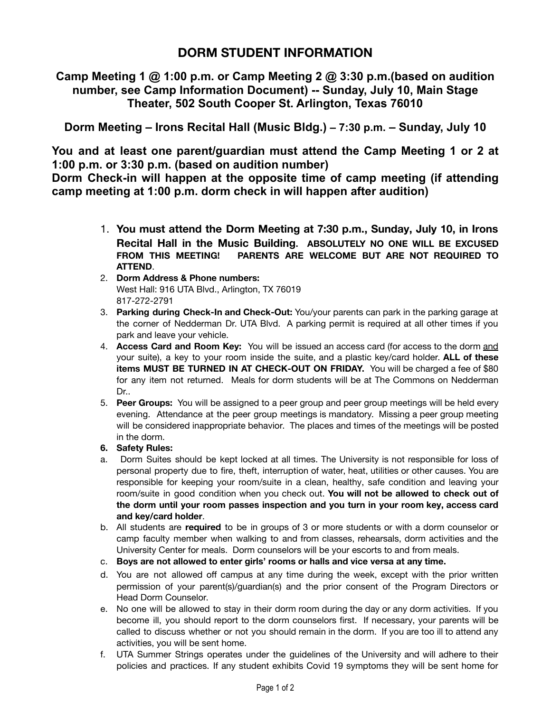**Camp Meeting 1 @ 1:00 p.m. or Camp Meeting 2 @ 3:30 p.m.(based on audition number, see Camp Information Document) -- Sunday, July 10, Main Stage Theater, 502 South Cooper St. Arlington, Texas 76010**

**Dorm Meeting – Irons Recital Hall (Music Bldg.) – 7:30 p.m. – Sunday, July 10**

**You and at least one parent/guardian must attend the Camp Meeting 1 or 2 at 1:00 p.m. or 3:30 p.m. (based on audition number)**

**Dorm Check-in will happen at the opposite time of camp meeting (if attending camp meeting at 1:00 p.m. dorm check in will happen after audition)**

- 1. **You must attend the Dorm Meeting at 7:30 p.m., Sunday, July 10, in Irons Recital Hall in the Music Building. ABSOLUTELY NO ONE WILL BE EXCUSED FROM THIS MEETING! PARENTS ARE WELCOME BUT ARE NOT REQUIRED TO ATTEND**.
- 2. **Dorm Address & Phone numbers:** West Hall: 916 UTA Blvd., Arlington, TX 76019 817-272-2791
- 3. **Parking during Check-In and Check-Out:** You/your parents can park in the parking garage at the corner of Nedderman Dr. UTA Blvd. A parking permit is required at all other times if you park and leave your vehicle.
- 4. **Access Card and Room Key:** You will be issued an access card (for access to the dorm and your suite), a key to your room inside the suite, and a plastic key/card holder. **ALL of these items MUST BE TURNED IN AT CHECK-OUT ON FRIDAY.** You will be charged a fee of \$80 for any item not returned. Meals for dorm students will be at The Commons on Nedderman Dr..
- 5. **Peer Groups:** You will be assigned to a peer group and peer group meetings will be held every evening. Attendance at the peer group meetings is mandatory. Missing a peer group meeting will be considered inappropriate behavior. The places and times of the meetings will be posted in the dorm.
- **6. Safety Rules:**
- a. Dorm Suites should be kept locked at all times. The University is not responsible for loss of personal property due to fire, theft, interruption of water, heat, utilities or other causes. You are responsible for keeping your room/suite in a clean, healthy, safe condition and leaving your room/suite in good condition when you check out. **You will not be allowed to check out of the dorm until your room passes inspection and you turn in your room key, access card and key/card holder**.
- b. All students are **required** to be in groups of 3 or more students or with a dorm counselor or camp faculty member when walking to and from classes, rehearsals, dorm activities and the University Center for meals. Dorm counselors will be your escorts to and from meals.
- c. **Boys are not allowed to enter girls' rooms or halls and vice versa at any time.**
- d. You are not allowed off campus at any time during the week, except with the prior written permission of your parent(s)/guardian(s) and the prior consent of the Program Directors or Head Dorm Counselor.
- e. No one will be allowed to stay in their dorm room during the day or any dorm activities. If you become ill, you should report to the dorm counselors first. If necessary, your parents will be called to discuss whether or not you should remain in the dorm. If you are too ill to attend any activities, you will be sent home.
- f. UTA Summer Strings operates under the guidelines of the University and will adhere to their policies and practices. If any student exhibits Covid 19 symptoms they will be sent home for